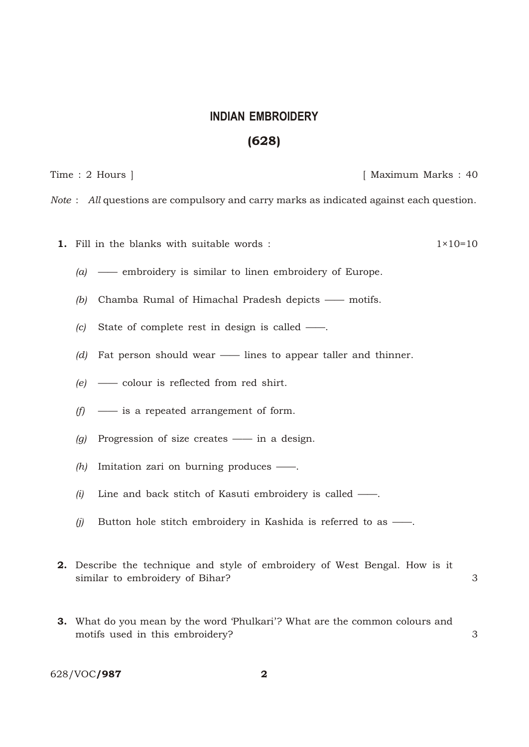## **INDIAN EMBROIDERY** (628)

Time : 2 Hours ] [ Maximum Marks : 40

*Note* : *All* questions are compulsory and carry marks as indicated against each question.

- **1.** Fill in the blanks with suitable words :  $1 \times 10 = 10$ 
	- *(a)* —— embroidery is similar to linen embroidery of Europe.
	- *(b)* Chamba Rumal of Himachal Pradesh depicts —— motifs.
	- *(c)* State of complete rest in design is called ——.
	- *(d)* Fat person should wear —— lines to appear taller and thinner.
	- *(e)* —— colour is reflected from red shirt.
	- *(f)* —— is a repeated arrangement of form.
	- *(g)* Progression of size creates —— in a design.
	- *(h)* Imitation zari on burning produces ——.
	- *(i)* Line and back stitch of Kasuti embroidery is called ——.
	- *(j)* Button hole stitch embroidery in Kashida is referred to as ——.
- 2. Describe the technique and style of embroidery of West Bengal. How is it similar to embroidery of Bihar? 3
- 3. What do you mean by the word 'Phulkari'? What are the common colours and motifs used in this embroidery? 3